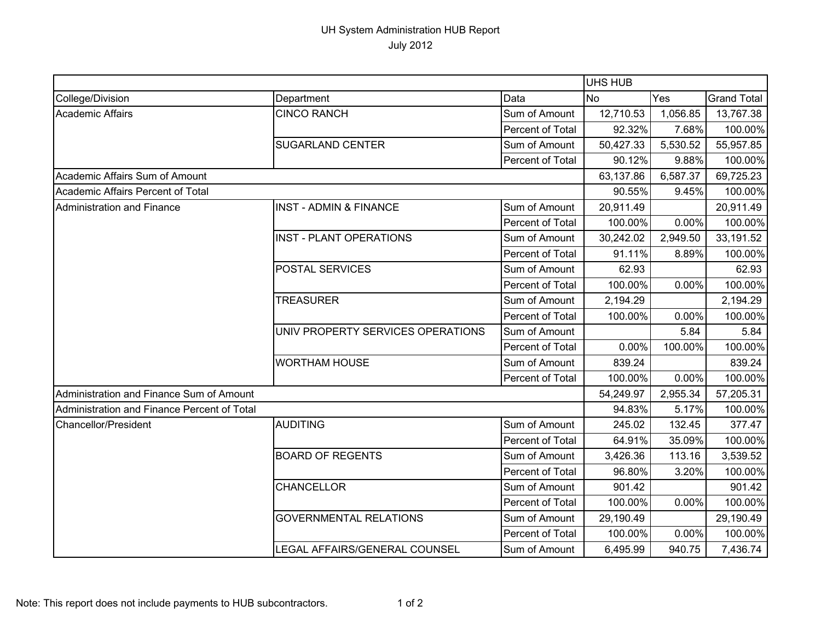## UH System Administration HUB Report July 2012

|                                             |                                   |                  | UHS HUB   |          |                    |  |
|---------------------------------------------|-----------------------------------|------------------|-----------|----------|--------------------|--|
| College/Division                            | Department                        | Data             | No        | Yes      | <b>Grand Total</b> |  |
| Academic Affairs                            | <b>CINCO RANCH</b>                | Sum of Amount    | 12,710.53 | 1,056.85 | 13,767.38          |  |
|                                             |                                   | Percent of Total | 92.32%    | 7.68%    | 100.00%            |  |
|                                             | <b>SUGARLAND CENTER</b>           | Sum of Amount    | 50,427.33 | 5,530.52 | 55,957.85          |  |
|                                             |                                   | Percent of Total | 90.12%    | 9.88%    | 100.00%            |  |
| Academic Affairs Sum of Amount              |                                   |                  | 63,137.86 | 6,587.37 | 69,725.23          |  |
| Academic Affairs Percent of Total           |                                   |                  | 90.55%    | 9.45%    | 100.00%            |  |
| Administration and Finance                  | <b>INST - ADMIN &amp; FINANCE</b> | Sum of Amount    | 20,911.49 |          | 20,911.49          |  |
|                                             |                                   | Percent of Total | 100.00%   | 0.00%    | 100.00%            |  |
|                                             | <b>INST - PLANT OPERATIONS</b>    | Sum of Amount    | 30,242.02 | 2,949.50 | 33,191.52          |  |
|                                             |                                   | Percent of Total | 91.11%    | 8.89%    | 100.00%            |  |
|                                             | POSTAL SERVICES                   | Sum of Amount    | 62.93     |          | 62.93              |  |
|                                             |                                   | Percent of Total | 100.00%   | 0.00%    | 100.00%            |  |
|                                             | <b>TREASURER</b>                  | Sum of Amount    | 2,194.29  |          | 2,194.29           |  |
|                                             |                                   | Percent of Total | 100.00%   | 0.00%    | 100.00%            |  |
|                                             | UNIV PROPERTY SERVICES OPERATIONS | Sum of Amount    |           | 5.84     | 5.84               |  |
|                                             |                                   | Percent of Total | 0.00%     | 100.00%  | 100.00%            |  |
|                                             | <b>WORTHAM HOUSE</b>              | Sum of Amount    | 839.24    |          | 839.24             |  |
|                                             |                                   | Percent of Total | 100.00%   | 0.00%    | 100.00%            |  |
| Administration and Finance Sum of Amount    |                                   |                  | 54,249.97 | 2,955.34 | 57,205.31          |  |
| Administration and Finance Percent of Total |                                   |                  | 94.83%    | 5.17%    | 100.00%            |  |
| <b>Chancellor/President</b>                 | <b>AUDITING</b>                   | Sum of Amount    | 245.02    | 132.45   | 377.47             |  |
|                                             |                                   | Percent of Total | 64.91%    | 35.09%   | 100.00%            |  |
|                                             | <b>BOARD OF REGENTS</b>           | Sum of Amount    | 3,426.36  | 113.16   | 3,539.52           |  |
|                                             |                                   | Percent of Total | 96.80%    | 3.20%    | 100.00%            |  |
|                                             | <b>CHANCELLOR</b>                 | Sum of Amount    | 901.42    |          | 901.42             |  |
|                                             |                                   | Percent of Total | 100.00%   | 0.00%    | 100.00%            |  |
|                                             | <b>GOVERNMENTAL RELATIONS</b>     | Sum of Amount    | 29,190.49 |          | 29,190.49          |  |
|                                             |                                   | Percent of Total | 100.00%   | 0.00%    | 100.00%            |  |
|                                             | LEGAL AFFAIRS/GENERAL COUNSEL     | Sum of Amount    | 6,495.99  | 940.75   | 7,436.74           |  |